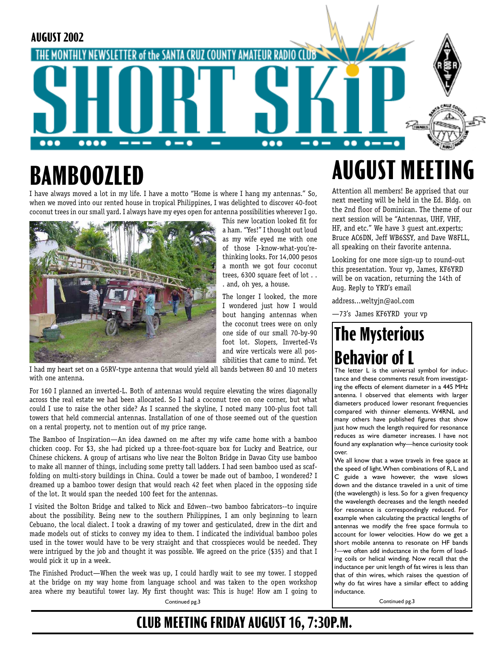

# **BAMBOOZLED**

I have always moved a lot in my life. I have a motto "Home is where I hang my antennas." So, when we moved into our rented house in tropical Philippines, I was delighted to discover 40-foot coconut trees in our small yard. I always have my eyes open for antenna possibilities wherever I go.



This new location looked fit for a ham. "Yes!" I thought out loud as my wife eyed me with one of those I-know-what-you'rethinking looks. For 14,000 pesos a month we got four coconut trees, 6300 square feet of lot . . . and, oh yes, a house.

The longer I looked, the more I wondered just how I would bout hanging antennas when the coconut trees were on only one side of our small 70-by-90 foot lot. Slopers, Inverted-Vs and wire verticals were all possibilities that came to mind. Yet

I had my heart set on a G5RV-type antenna that would yield all bands between 80 and 10 meters with one antenna.

For 160 I planned an inverted-L. Both of antennas would require elevating the wires diagonally across the real estate we had been allocated. So I had a coconut tree on one corner, but what could I use to raise the other side? As I scanned the skyline, I noted many 100-plus foot tall towers that held commercial antennas. Installation of one of those seemed out of the question on a rental property, not to mention out of my price range.

The Bamboo of Inspiration—An idea dawned on me after my wife came home with a bamboo chicken coop. For \$3, she had picked up a three-foot-square box for Lucky and Beatrice, our Chinese chickens. A group of artisans who live near the Bolton Bridge in Davao City use bamboo to make all manner of things, including some pretty tall ladders. I had seen bamboo used as scaffolding on multi-story buildings in China. Could a tower be made out of bamboo, I wondered? I dreamed up a bamboo tower design that would reach 42 feet when placed in the opposing side of the lot. It would span the needed 100 feet for the antennas.

I visited the Bolton Bridge and talked to Nick and Edwen--two bamboo fabricators--to inquire about the possibility. Being new to the southern Philippines, I am only beginning to learn Cebuano, the local dialect. I took a drawing of my tower and gesticulated, drew in the dirt and made models out of sticks to convey my idea to them. I indicated the individual bamboo poles used in the tower would have to be very straight and that crosspieces would be needed. They were intrigued by the job and thought it was possible. We agreed on the price (\$35) and that I would pick it up in a week.

The Finished Product—When the week was up, I could hardly wait to see my tower. I stopped at the bridge on my way home from language school and was taken to the open workshop area where my beautiful tower lay. My first thought was: This is huge! How am I going to

Continued pg.3

# **AUGUST MEETI**

Attention all members! Be apprised that our next meeting will be held in the Ed. Bldg. on the 2nd floor of Dominican. The theme of our next session will be "Antennas, UHF, VHF, HF, and etc." We have 3 guest ant.experts; Bruce AC6DN, Jeff WB6SSY, and Dave W8FLL, all speaking on their favorite antenna.

Looking for one more sign-up to round-out this presentation. Your vp, James, KF6YRD will be on vacation, returning the 14th of Aug. Reply to YRD's email

address...weltyjn@aol.com

—73's James KF6YRD your vp

## **The Mysterious Behavior of L**

The letter L is the universal symbol for inductance and these comments result from investigating the effects of element diameter in a 445 MHz antenna. I observed that elements with larger diameters produced lower resonant frequencies compared with thinner elements. W4RNL and many others have published figures that show just how much the length required for resonance reduces as wire diameter increases. I have not found any explanation why—hence curiosity took over.

We all know that a wave travels in free space at the speed of light. When combinations of R, L and C guide a wave however, the wave slows down and the distance traveled in a unit of time (the wavelength) is less. So for a given frequency the wavelength decreases and the length needed for resonance is correspondingly reduced. For example when calculating the practical lengths of antennas we modify the free space formula to account for lower velocities. How do we get a short mobile antenna to resonate on HF bands ?—we often add inductance in the form of loading coils or helical winding. Now recall that the inductance per unit length of fat wires is less than that of thin wires, which raises the question of why do fat wires have a similar effect to adding inductance.

Continued pg.3

### **CLUB MEETING FRIDAY AUGUST 16, 7:30P.M.**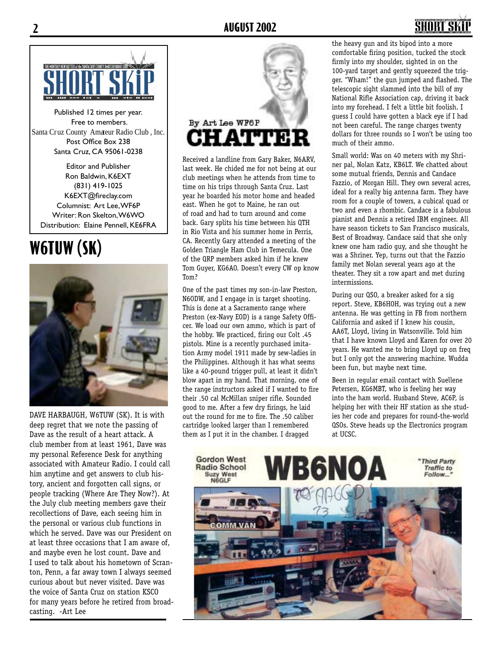

Published 12 times per year. Free to members. Santa Cruz County Amateur Radio Club , Inc. Post Office Box 238 Santa Cruz, CA 95061-0238

Editor and Publisher Ron Baldwin, K6EXT (831) 419-1025 K6EXT@fireclay.com Columnist: Art Lee, WF6P Writer: Ron Skelton, W6WO Distribution: Elaine Pennell, KE6FRA

## **W6TUW (SK)**



DAVE HARBAUGH, W6TUW (SK). It is with deep regret that we note the passing of Dave as the result of a heart attack. A club member from at least 1961, Dave was my personal Reference Desk for anything associated with Amateur Radio. I could call him anytime and get answers to club history, ancient and forgotten call signs, or people tracking (Where Are They Now?). At the July club meeting members gave their recollections of Dave, each seeing him in the personal or various club functions in which he served. Dave was our President on at least three occasions that I am aware of, and maybe even he lost count. Dave and I used to talk about his hometown of Scranton, Penn, a far away town I always seemed curious about but never visited. Dave was the voice of Santa Cruz on station KSCO for many years before he retired from broadcasting. -Art Lee



Received a landline from Gary Baker, N6ARV, last week. He chided me for not being at our club meetings when he attends from time to time on his trips through Santa Cruz. Last year he boarded his motor home and headed east. When he got to Maine, he ran out of road and had to turn around and come back. Gary splits his time between his QTH in Rio Vista and his summer home in Perris, CA. Recently Gary attended a meeting of the Golden Triangle Ham Club in Temecula. One of the QRP members asked him if he knew Tom Guyer, KG6AO. Doesn't every CW op know Tom?

One of the past times my son-in-law Preston, N6ODW, and I engage in is target shooting. This is done at a Sacramento range where Preston (ex-Navy EOD) is a range Safety Officer. We load our own ammo, which is part of the hobby. We practiced, firing our Colt .45 pistols. Mine is a recently purchased imitation Army model 1911 made by sew-ladies in the Philippines. Although it has what seems like a 40-pound trigger pull, at least it didn't blow apart in my hand. That morning, one of the range instructors asked if I wanted to fire their .50 cal McMillan sniper rifle. Sounded good to me. After a few dry firings, he laid out the round for me to fire. The .50 caliber cartridge looked larger than I remembered them as I put it in the chamber. I dragged

the heavy gun and its bipod into a more comfortable firing position, tucked the stock firmly into my shoulder, sighted in on the 100-yard target and gently squeezed the trigger. "Wham!" the gun jumped and flashed. The telescopic sight slammed into the bill of my National Rifle Association cap, driving it back into my forehead. I felt a little bit foolish. I guess I could have gotten a black eye if I had not been careful. The range charges twenty dollars for three rounds so I won't be using too much of their ammo.

Small world: Was on 40 meters with my Shriner pal, Nolan Katz, KB6LT. We chatted about some mutual friends, Dennis and Candace Fazzio, of Morgan Hill. They own several acres, ideal for a really big antenna farm. They have room for a couple of towers, a cubical quad or two and even a rhombic. Candace is a fabulous pianist and Dennis a retired IBM engineer. All have season tickets to San Francisco musicals, Best of Broadway. Candace said that she only knew one ham radio guy, and she thought he was a Shriner. Yep, turns out that the Fazzio family met Nolan several years ago at the theater. They sit a row apart and met during intermissions.

During our QSO, a breaker asked for a sig report. Steve, KB6HOH, was trying out a new antenna. He was getting in FB from northern California and asked if I knew his cousin, AA6T, Lloyd, living in Watsonville. Told him that I have known Lloyd and Karen for over 20 years. He wanted me to bring Lloyd up on freq but I only got the answering machine. Wudda been fun, but maybe next time.

Been in regular email contact with Suellene Petersen, KG6MBT, who is feeling her way into the ham world. Husband Steve, AC6P, is helping her with their HF station as she studies her code and prepares for round-the-world QSOs. Steve heads up the Electronics program at UCSC.

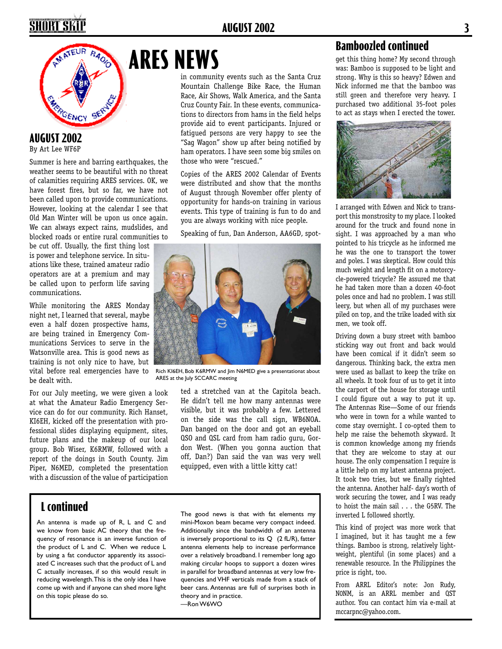#### **AUGUST 2002 3**

## SHORT SKI



#### **AUGUST 2002**

By Art Lee WF6P

Summer is here and barring earthquakes, the weather seems to be beautiful with no threat of calamities requiring ARES services. OK, we have forest fires, but so far, we have not been called upon to provide communications. However, looking at the calendar I see that Old Man Winter will be upon us once again. We can always expect rains, mudslides, and blocked roads or entire rural communities to

be cut off. Usually, the first thing lost is power and telephone service. In situations like these, trained amateur radio operators are at a premium and may be called upon to perform life saving communications.

While monitoring the ARES Monday night net, I learned that several, maybe even a half dozen prospective hams, are being trained in Emergency Communications Services to serve in the Watsonville area. This is good news as training is not only nice to have, but vital before real emergencies have to be dealt with.

For our July meeting, we were given a look at what the Amateur Radio Emergency Service can do for our community. Rich Hanset, KI6EH, kicked off the presentation with professional slides displaying equipment, sites, future plans and the makeup of our local group. Bob Wiser, K6RMW, followed with a report of the doings in South County. Jim Piper, N6MED, completed the presentation with a discussion of the value of participation

#### **L continued**

An antenna is made up of R, L and C and we know from basic AC theory that the frequency of resonance is an inverse function of the product of L and C. When we reduce L by using a fat conductor apparently its associated C increases such that the product of L and C actually increases, if so this would result in reducing wavelength. This is the only idea I have come up with and if anyone can shed more light on this topic please do so.

## **ARES NEWS**

in community events such as the Santa Cruz Mountain Challenge Bike Race, the Human Race, Air Shows, Walk America, and the Santa Cruz County Fair. In these events, communications to directors from hams in the field helps provide aid to event participants. Injured or fatigued persons are very happy to see the "Sag Wagon" show up after being notified by ham operators. I have seen some big smiles on those who were "rescued."

Copies of the ARES 2002 Calendar of Events were distributed and show that the months of August through November offer plenty of opportunity for hands-on training in various events. This type of training is fun to do and you are always working with nice people.

Speaking of fun, Dan Anderson, AA6GD, spot-



Rich KI6EH, Bob K6RMW and Jim N6MED give a presentationat about ARES at the July SCCARC meeting

ted a stretched van at the Capitola beach. He didn't tell me how many antennas were visible, but it was probably a few. Lettered on the side was the call sign, WB6NOA. Dan banged on the door and got an eyeball QSO and QSL card from ham radio guru, Gordon West. (When you gonna auction that off, Dan?) Dan said the van was very well equipped, even with a little kitty cat!

The good news is that with fat elements my mini-Moxon beam became very compact indeed. Additionally since the bandwidth of an antenna is inversely proportional to its  $Q$  (2 fL/R), fatter antenna elements help to increase performance over a relatively broadband. I remember long ago making circular hoops to support a dozen wires in parallel for broadband antennas at very low frequencies and VHF verticals made from a stack of beer cans. Antennas are full of surprises both in theory and in practice. —Ron W6WO

#### **Bamboozled continued**

get this thing home? My second through was: Bamboo is supposed to be light and strong. Why is this so heavy? Edwen and Nick informed me that the bamboo was still green and therefore very heavy. I purchased two additional 35-foot poles to act as stays when I erected the tower.



I arranged with Edwen and Nick to transport this monstrosity to my place. I looked around for the truck and found none in sight. I was approached by a man who pointed to his tricycle as he informed me he was the one to transport the tower and poles. I was skeptical. How could this much weight and length fit on a motorcycle-powered tricycle? He assured me that he had taken more than a dozen 40-foot poles once and had no problem. I was still leery, but when all of my purchases were piled on top, and the trike loaded with six men, we took off.

Driving down a busy street with bamboo sticking way out front and back would have been comical if it didn't seem so dangerous. Thinking back, the extra men were used as ballast to keep the trike on all wheels. It took four of us to get it into the carport of the house for storage until I could figure out a way to put it up. The Antennas Rise—Some of our friends who were in town for a while wanted to come stay overnight. I co-opted them to help me raise the behemoth skyward. It is common knowledge among my friends that they are welcome to stay at our house. The only compensation I require is a little help on my latest antenna project. It took two tries, but we finally righted the antenna. Another half- day's worth of work securing the tower, and I was ready to hoist the main sail . . . the G5RV. The inverted L followed shortly.

This kind of project was more work that I imagined, but it has taught me a few things. Bamboo is strong, relatively lightweight, plentiful (in some places) and a renewable resource. In the Philippines the price is right, too.

From ARRL Editor's note: Jon Rudy, N0NM, is an ARRL member and QST author. You can contact him via e-mail at mccarpnc@yahoo.com.